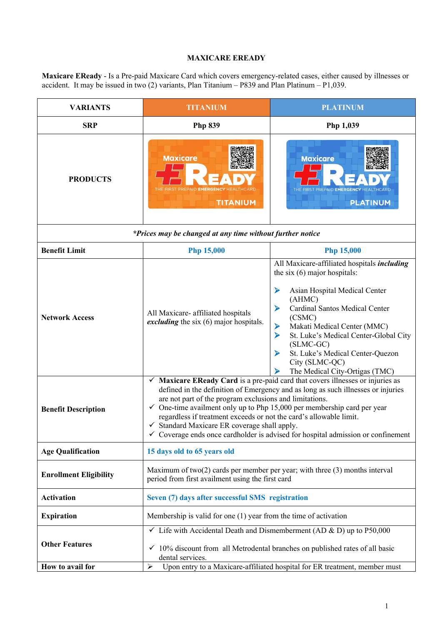## **MAXICARE EREADY**

**Maxicare EReady** - Is a Pre-paid Maxicare Card which covers emergency-related cases, either caused by illnesses or accident. It may be issued in two (2) variants, Plan Titanium – P839 and Plan Platinum – P1,039.

| <b>VARIANTS</b>                                           | <b>TITANIUM</b>                                                                                                                                                                                                                                                                                                                                                                                                                                                                                                                                        | <b>PLATINUM</b>                                                                                                                                                                                                                                                                                                                                                                   |  |  |
|-----------------------------------------------------------|--------------------------------------------------------------------------------------------------------------------------------------------------------------------------------------------------------------------------------------------------------------------------------------------------------------------------------------------------------------------------------------------------------------------------------------------------------------------------------------------------------------------------------------------------------|-----------------------------------------------------------------------------------------------------------------------------------------------------------------------------------------------------------------------------------------------------------------------------------------------------------------------------------------------------------------------------------|--|--|
| <b>SRP</b>                                                | <b>Php 839</b>                                                                                                                                                                                                                                                                                                                                                                                                                                                                                                                                         | Php 1,039                                                                                                                                                                                                                                                                                                                                                                         |  |  |
| <b>PRODUCTS</b>                                           | <b>Maxicare</b><br><b>TITANIUM</b>                                                                                                                                                                                                                                                                                                                                                                                                                                                                                                                     | <b>Maxicare</b><br>PREPAID <b>EMERGENC</b><br><b>PLATINUM</b>                                                                                                                                                                                                                                                                                                                     |  |  |
| *Prices may be changed at any time without further notice |                                                                                                                                                                                                                                                                                                                                                                                                                                                                                                                                                        |                                                                                                                                                                                                                                                                                                                                                                                   |  |  |
| <b>Benefit Limit</b>                                      | <b>Php 15,000</b>                                                                                                                                                                                                                                                                                                                                                                                                                                                                                                                                      | <b>Php 15,000</b>                                                                                                                                                                                                                                                                                                                                                                 |  |  |
| <b>Network Access</b>                                     | All Maxicare- affiliated hospitals<br>excluding the six (6) major hospitals.                                                                                                                                                                                                                                                                                                                                                                                                                                                                           | All Maxicare-affiliated hospitals including<br>the six $(6)$ major hospitals:<br>➤<br>Asian Hospital Medical Center<br>(AHMC)<br>Cardinal Santos Medical Center<br>⋗<br>(CSMC)<br>Makati Medical Center (MMC)<br>➤<br>St. Luke's Medical Center-Global City<br>➤<br>$(SLMC-GC)$<br>St. Luke's Medical Center-Quezon<br>➤<br>City (SLMC-QC)<br>The Medical City-Ortigas (TMC)<br>⋗ |  |  |
| <b>Benefit Description</b>                                | Maxicare EReady Card is a pre-paid card that covers illnesses or injuries as<br>✓<br>defined in the definition of Emergency and as long as such illnesses or injuries<br>are not part of the program exclusions and limitations.<br>$\checkmark$ One-time availment only up to Php 15,000 per membership card per year<br>regardless if treatment exceeds or not the card's allowable limit.<br>$\checkmark$ Standard Maxicare ER coverage shall apply.<br>$\checkmark$ Coverage ends once cardholder is advised for hospital admission or confinement |                                                                                                                                                                                                                                                                                                                                                                                   |  |  |
| <b>Age Qualification</b>                                  | 15 days old to 65 years old                                                                                                                                                                                                                                                                                                                                                                                                                                                                                                                            |                                                                                                                                                                                                                                                                                                                                                                                   |  |  |
| <b>Enrollment Eligibility</b>                             | Maximum of two $(2)$ cards per member per year; with three $(3)$ months interval<br>period from first availment using the first card                                                                                                                                                                                                                                                                                                                                                                                                                   |                                                                                                                                                                                                                                                                                                                                                                                   |  |  |
| <b>Activation</b>                                         | Seven (7) days after successful SMS registration                                                                                                                                                                                                                                                                                                                                                                                                                                                                                                       |                                                                                                                                                                                                                                                                                                                                                                                   |  |  |
| <b>Expiration</b>                                         | Membership is valid for one $(1)$ year from the time of activation                                                                                                                                                                                                                                                                                                                                                                                                                                                                                     |                                                                                                                                                                                                                                                                                                                                                                                   |  |  |
| <b>Other Features</b>                                     | $\checkmark$ Life with Accidental Death and Dismemberment (AD & D) up to P50,000<br>$\checkmark$ 10% discount from all Metrodental branches on published rates of all basic<br>dental services.                                                                                                                                                                                                                                                                                                                                                        |                                                                                                                                                                                                                                                                                                                                                                                   |  |  |
| How to avail for                                          | ➤                                                                                                                                                                                                                                                                                                                                                                                                                                                                                                                                                      | Upon entry to a Maxicare-affiliated hospital for ER treatment, member must                                                                                                                                                                                                                                                                                                        |  |  |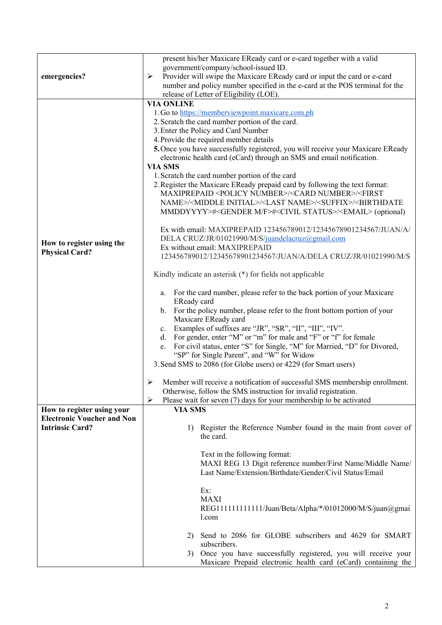| emergencies?                                                | present his/her Maxicare EReady card or e-card together with a valid<br>government/company/school-issued ID.<br>Provider will swipe the Maxicare EReady card or input the card or e-card<br>➤<br>number and policy number specified in the e-card at the POS terminal for the                                                                                                                                                                                                                                                                                                                                                                                                                                                                                                                                                         |  |  |
|-------------------------------------------------------------|---------------------------------------------------------------------------------------------------------------------------------------------------------------------------------------------------------------------------------------------------------------------------------------------------------------------------------------------------------------------------------------------------------------------------------------------------------------------------------------------------------------------------------------------------------------------------------------------------------------------------------------------------------------------------------------------------------------------------------------------------------------------------------------------------------------------------------------|--|--|
|                                                             | release of Letter of Eligibility (LOE).                                                                                                                                                                                                                                                                                                                                                                                                                                                                                                                                                                                                                                                                                                                                                                                               |  |  |
|                                                             | <b>VIA ONLINE</b><br>1. Go to https://memberviewpoint.maxicare.com.ph<br>2. Scratch the card number portion of the card.<br>3. Enter the Policy and Card Number<br>4. Provide the required member details<br>5. Once you have successfully registered, you will receive your Maxicare EReady<br>electronic health card (eCard) through an SMS and email notification.<br><b>VIA SMS</b><br>1. Scratch the card number portion of the card<br>2. Register the Maxicare EReady prepaid card by following the text format:<br>MAXIPREPAID <policy number="">/<card number="">/<first<br>NAME&gt;/<middle initial="">/<last name="">/<suffix>/<birthdate<br>MMDDYYYY&gt;#<gender f="" m="">#<civil status="">/<email> (optional)</email></civil></gender></birthdate<br></suffix></last></middle></first<br></card></policy>              |  |  |
| How to register using the<br><b>Physical Card?</b>          | Ex with email: MAXIPREPAID 123456789012/12345678901234567/JUAN/A/<br>DELA CRUZ/JR/01021990/M/S/juandelacruz@gmail.com<br>Ex without email: MAXIPREPAID<br>123456789012/12345678901234567/JUAN/A/DELA CRUZ/JR/01021990/M/S                                                                                                                                                                                                                                                                                                                                                                                                                                                                                                                                                                                                             |  |  |
|                                                             |                                                                                                                                                                                                                                                                                                                                                                                                                                                                                                                                                                                                                                                                                                                                                                                                                                       |  |  |
|                                                             | Kindly indicate an asterisk (*) for fields not applicable<br>For the card number, please refer to the back portion of your Maxicare<br>a.<br>EReady card<br>b. For the policy number, please refer to the front bottom portion of your<br>Maxicare EReady card<br>c. Examples of suffixes are "JR", "SR", "II", "III", "IV".<br>d. For gender, enter "M" or "m" for male and "F" or "f" for female<br>e. For civil status, enter "S" for Single, "M" for Married, "D" for Divored,<br>"SP" for Single Parent", and "W" for Widow<br>3. Send SMS to 2086 (for Globe users) or 4229 (for Smart users)<br>Member will receive a notification of successful SMS membership enrollment.<br>➤<br>Otherwise, follow the SMS instruction for invalid registration.<br>Please wait for seven (7) days for your membership to be activated<br>➤ |  |  |
| How to register using your                                  | <b>VIA SMS</b>                                                                                                                                                                                                                                                                                                                                                                                                                                                                                                                                                                                                                                                                                                                                                                                                                        |  |  |
| <b>Electronic Voucher and Non</b><br><b>Intrinsic Card?</b> | Register the Reference Number found in the main front cover of<br>1)<br>the card.                                                                                                                                                                                                                                                                                                                                                                                                                                                                                                                                                                                                                                                                                                                                                     |  |  |
|                                                             | Text in the following format:<br>MAXI REG 13 Digit reference number/First Name/Middle Name/<br>Last Name/Extension/Birthdate/Gender/Civil Status/Email                                                                                                                                                                                                                                                                                                                                                                                                                                                                                                                                                                                                                                                                                |  |  |
|                                                             | Ex:<br><b>MAXI</b><br>REG1111111111111/Juan/Beta/Alpha/*/01012000/M/S/juan@gmai<br>l.com                                                                                                                                                                                                                                                                                                                                                                                                                                                                                                                                                                                                                                                                                                                                              |  |  |
|                                                             | Send to 2086 for GLOBE subscribers and 4629 for SMART<br>2)<br>subscribers.                                                                                                                                                                                                                                                                                                                                                                                                                                                                                                                                                                                                                                                                                                                                                           |  |  |
|                                                             | Once you have successfully registered, you will receive your<br>3)<br>Maxicare Prepaid electronic health card (eCard) containing the                                                                                                                                                                                                                                                                                                                                                                                                                                                                                                                                                                                                                                                                                                  |  |  |